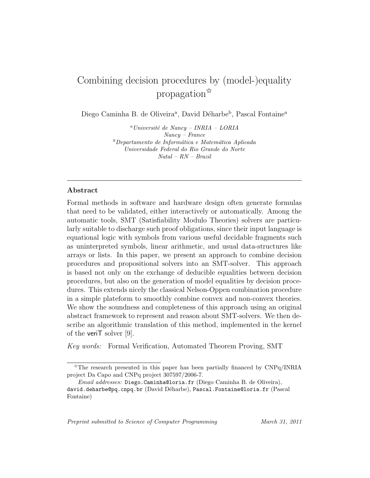# Combining decision procedures by (model-)equality propagation✩

Diego Caminha B. de Oliveira<sup>a</sup>, David Déharbe<sup>b</sup>, Pascal Fontaine<sup>a</sup>

 $^{a}$ Université de Nancy – INRIA – LORIA Nancy – France  $b$ Departamento de Informática e Matemática Aplicada Universidade Federal do Rio Grande do Norte Natal – RN – Brazil

# Abstract

Formal methods in software and hardware design often generate formulas that need to be validated, either interactively or automatically. Among the automatic tools, SMT (Satisfiability Modulo Theories) solvers are particularly suitable to discharge such proof obligations, since their input language is equational logic with symbols from various useful decidable fragments such as uninterpreted symbols, linear arithmetic, and usual data-structures like arrays or lists. In this paper, we present an approach to combine decision procedures and propositional solvers into an SMT-solver. This approach is based not only on the exchange of deducible equalities between decision procedures, but also on the generation of model equalities by decision procedures. This extends nicely the classical Nelson-Oppen combination procedure in a simple plateform to smoothly combine convex and non-convex theories. We show the soundness and completeness of this approach using an original abstract framework to represent and reason about SMT-solvers. We then describe an algorithmic translation of this method, implemented in the kernel of the veriT solver [9].

Key words: Formal Verification, Automated Theorem Proving, SMT

Preprint submitted to Science of Computer Programming March 31, 2011

 $\hat{\tau}$ The research presented in this paper has been partially financed by CNPq/INRIA project Da Capo and CNPq project 307597/2006-7.

Email addresses: Diego.Caminha@loria.fr (Diego Caminha B. de Oliveira), david.deharbe@pq.cnpq.br (David Déharbe), Pascal.Fontaine@loria.fr (Pascal Fontaine)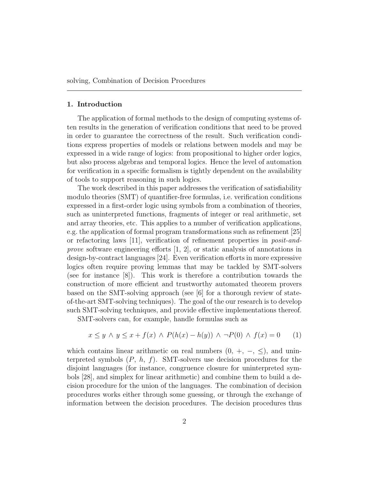#### 1. Introduction

The application of formal methods to the design of computing systems often results in the generation of verification conditions that need to be proved in order to guarantee the correctness of the result. Such verification conditions express properties of models or relations between models and may be expressed in a wide range of logics: from propositional to higher order logics, but also process algebras and temporal logics. Hence the level of automation for verification in a specific formalism is tightly dependent on the availability of tools to support reasoning in such logics.

The work described in this paper addresses the verification of satisfiability modulo theories (SMT) of quantifier-free formulas, i.e. verification conditions expressed in a first-order logic using symbols from a combination of theories, such as uninterpreted functions, fragments of integer or real arithmetic, set and array theories, etc. This applies to a number of verification applications, e.g. the application of formal program transformations such as refinement [25] or refactoring laws [11], verification of refinement properties in posit-andprove software engineering efforts [1, 2], or static analysis of annotations in design-by-contract languages [24]. Even verification efforts in more expressive logics often require proving lemmas that may be tackled by SMT-solvers (see for instance [8]). This work is therefore a contribution towards the construction of more efficient and trustworthy automated theorem provers based on the SMT-solving approach (see [6] for a thorough review of stateof-the-art SMT-solving techniques). The goal of the our research is to develop such SMT-solving techniques, and provide effective implementations thereof.

SMT-solvers can, for example, handle formulas such as

$$
x \le y \land y \le x + f(x) \land P(h(x) - h(y)) \land \neg P(0) \land f(x) = 0 \tag{1}
$$

which contains linear arithmetic on real numbers  $(0, +, -, \leq)$ , and uninterpreted symbols  $(P, h, f)$ . SMT-solvers use decision procedures for the disjoint languages (for instance, congruence closure for uninterpreted symbols [28], and simplex for linear arithmetic) and combine them to build a decision procedure for the union of the languages. The combination of decision procedures works either through some guessing, or through the exchange of information between the decision procedures. The decision procedures thus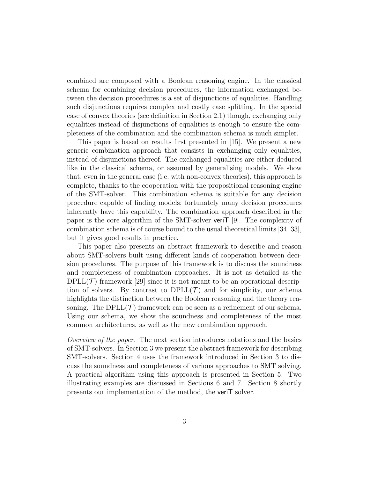combined are composed with a Boolean reasoning engine. In the classical schema for combining decision procedures, the information exchanged between the decision procedures is a set of disjunctions of equalities. Handling such disjunctions requires complex and costly case splitting. In the special case of convex theories (see definition in Section 2.1) though, exchanging only equalities instead of disjunctions of equalities is enough to ensure the completeness of the combination and the combination schema is much simpler.

This paper is based on results first presented in [15]. We present a new generic combination approach that consists in exchanging only equalities, instead of disjunctions thereof. The exchanged equalities are either deduced like in the classical schema, or assumed by generalising models. We show that, even in the general case (i.e. with non-convex theories), this approach is complete, thanks to the cooperation with the propositional reasoning engine of the SMT-solver. This combination schema is suitable for any decision procedure capable of finding models; fortunately many decision procedures inherently have this capability. The combination approach described in the paper is the core algorithm of the SMT-solver veriT [9]. The complexity of combination schema is of course bound to the usual theoretical limits [34, 33], but it gives good results in practice.

This paper also presents an abstract framework to describe and reason about SMT-solvers built using different kinds of cooperation between decision procedures. The purpose of this framework is to discuss the soundness and completeness of combination approaches. It is not as detailed as the  $DPLL(\mathcal{T})$  framework [29] since it is not meant to be an operational description of solvers. By contrast to  $DPLL(\mathcal{T})$  and for simplicity, our schema highlights the distinction between the Boolean reasoning and the theory reasoning. The  $DPLL(\mathcal{T})$  framework can be seen as a refinement of our schema. Using our schema, we show the soundness and completeness of the most common architectures, as well as the new combination approach.

Overview of the paper. The next section introduces notations and the basics of SMT-solvers. In Section 3 we present the abstract framework for describing SMT-solvers. Section 4 uses the framework introduced in Section 3 to discuss the soundness and completeness of various approaches to SMT solving. A practical algorithm using this approach is presented in Section 5. Two illustrating examples are discussed in Sections 6 and 7. Section 8 shortly presents our implementation of the method, the veriT solver.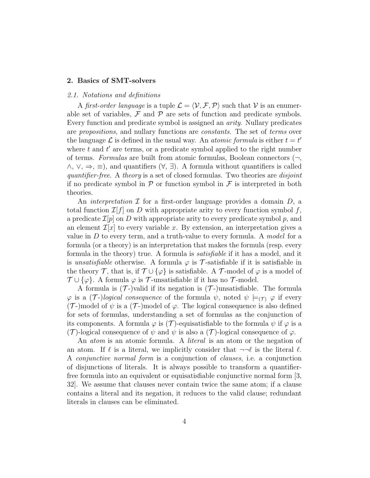#### 2. Basics of SMT-solvers

#### 2.1. Notations and definitions

A first-order language is a tuple  $\mathcal{L} = \langle \mathcal{V}, \mathcal{F}, \mathcal{P} \rangle$  such that V is an enumerable set of variables,  $\mathcal F$  and  $\mathcal P$  are sets of function and predicate symbols. Every function and predicate symbol is assigned an arity. Nullary predicates are propositions, and nullary functions are constants. The set of terms over the language  $\mathcal L$  is defined in the usual way. An *atomic formula* is either  $t = t'$ where  $t$  and  $t'$  are terms, or a predicate symbol applied to the right number of terms. Formulas are built from atomic formulas, Boolean connectors  $(\neg,$  $\wedge$ ,  $\vee$ ,  $\Rightarrow$ ,  $\equiv$ ), and quantifiers  $(\forall, \exists)$ . A formula without quantifiers is called quantifier-free. A theory is a set of closed formulas. Two theories are *disjoint* if no predicate symbol in  $\mathcal P$  or function symbol in  $\mathcal F$  is interpreted in both theories.

An *interpretation*  $\mathcal I$  for a first-order language provides a domain  $D$ , a total function  $\mathcal{I}[f]$  on D with appropriate arity to every function symbol f, a predicate  $\mathcal{I}[p]$  on D with appropriate arity to every predicate symbol p, and an element  $\mathcal{I}[x]$  to every variable x. By extension, an interpretation gives a value in  $D$  to every term, and a truth-value to every formula. A model for a formula (or a theory) is an interpretation that makes the formula (resp. every formula in the theory) true. A formula is satisfiable if it has a model, and it is unsatisfiable otherwise. A formula  $\varphi$  is  $\mathcal T$ -satisfiable if it is satisfiable in the theory  $\mathcal T$ , that is, if  $\mathcal T \cup {\varphi}$  is satisfiable. A  $\mathcal T$ -model of  $\varphi$  is a model of  $\mathcal{T} \cup {\varphi}$ . A formula  $\varphi$  is  $\mathcal{T}$ -unsatisfiable if it has no  $\mathcal{T}$ -model.

A formula is  $(\mathcal{T})$ -)valid if its negation is  $(\mathcal{T})$ -)unsatisfiable. The formula  $\varphi$  is a  $(\mathcal{T})$ -logical consequence of the formula  $\psi$ , noted  $\psi \models_{(\mathcal{T})} \varphi$  if every  $(\mathcal{T})$ -)model of  $\psi$  is a  $(\mathcal{T})$ -)model of  $\varphi$ . The logical consequence is also defined for sets of formulas, understanding a set of formulas as the conjunction of its components. A formula  $\varphi$  is (T)-equisatisfiable to the formula  $\psi$  if  $\varphi$  is a (T)-logical consequence of  $\psi$  and  $\psi$  is also a (T)-logical consequence of  $\varphi$ .

An *atom* is an atomic formula. A *literal* is an atom or the negation of an atom. If  $\ell$  is a literal, we implicitly consider that  $\neg\neg\ell$  is the literal  $\ell$ . A conjunctive normal form is a conjunction of clauses, i.e. a conjunction of disjunctions of literals. It is always possible to transform a quantifierfree formula into an equivalent or equisatisfiable conjunctive normal form [3, 32]. We assume that clauses never contain twice the same atom; if a clause contains a literal and its negation, it reduces to the valid clause; redundant literals in clauses can be eliminated.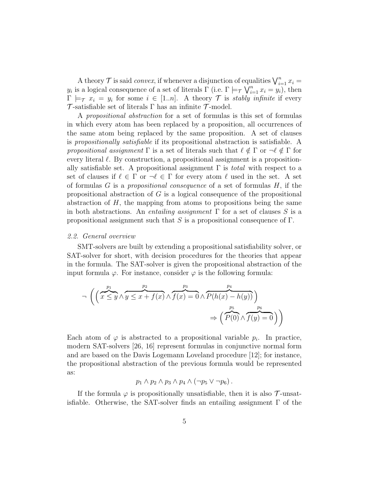A theory  $\mathcal T$  is said *convex*, if whenever a disjunction of equalities  $\bigvee_{i=1}^n x_i =$ y<sub>i</sub> is a logical consequence of a set of literals  $\Gamma$  (i.e.  $\Gamma \models_{\mathcal{T}} \bigvee_{i=1}^{n} x_i = y_i$ ), then  $\Gamma \models_{\mathcal{T}} x_i = y_i$  for some  $i \in [1..n]$ . A theory  $\mathcal{T}$  is stably infinite if every  $\mathcal T$ -satisfiable set of literals  $\Gamma$  has an infinite  $\mathcal T$ -model.

A propositional abstraction for a set of formulas is this set of formulas in which every atom has been replaced by a proposition, all occurrences of the same atom being replaced by the same proposition. A set of clauses is propositionally satisfiable if its propositional abstraction is satisfiable. A propositional assignment  $\Gamma$  is a set of literals such that  $\ell \notin \Gamma$  or  $\neg \ell \notin \Gamma$  for every literal  $\ell$ . By construction, a propositional assignment is a propositionally satisfiable set. A propositional assignment  $\Gamma$  is *total* with respect to a set of clauses if  $\ell \in \Gamma$  or  $\neg \ell \in \Gamma$  for every atom  $\ell$  used in the set. A set of formulas  $G$  is a *propositional consequence* of a set of formulas  $H$ , if the propositional abstraction of G is a logical consequence of the propositional abstraction of  $H$ , the mapping from atoms to propositions being the same in both abstractions. An *entailing assignment*  $\Gamma$  for a set of clauses S is a propositional assignment such that S is a propositional consequence of  $\Gamma$ .

#### 2.2. General overview

SMT-solvers are built by extending a propositional satisfiability solver, or SAT-solver for short, with decision procedures for the theories that appear in the formula. The SAT-solver is given the propositional abstraction of the input formula  $\varphi$ . For instance, consider  $\varphi$  is the following formula:

$$
\neg \left( \left( \overbrace{x \leq y}^{p_1} \wedge \overbrace{y \leq x + f(x)}^{p_2} \wedge \overbrace{f(x) = 0}^{p_3} \wedge \overbrace{P(h(x) - h(y))}^{p_4} \right) \right) \Rightarrow \left( \overbrace{P(0)}^{p_5} \wedge \overbrace{f(y) = 0}^{p_6} \right) \right)
$$

Each atom of  $\varphi$  is abstracted to a propositional variable  $p_i$ . In practice, modern SAT-solvers [26, 16] represent formulas in conjunctive normal form and are based on the Davis Logemann Loveland procedure [12]; for instance, the propositional abstraction of the previous formula would be represented as:

$$
p_1 \wedge p_2 \wedge p_3 \wedge p_4 \wedge (\neg p_5 \vee \neg p_6).
$$

If the formula  $\varphi$  is propositionally unsatisfiable, then it is also  $\mathcal{T}$ -unsatisfiable. Otherwise, the SAT-solver finds an entailing assignment  $\Gamma$  of the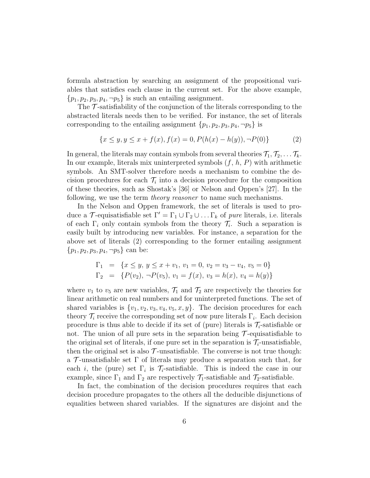formula abstraction by searching an assignment of the propositional variables that satisfies each clause in the current set. For the above example,  $\{p_1, p_2, p_3, p_4, \neg p_5\}$  is such an entailing assignment.

The  $\mathcal T$ -satisfiability of the conjunction of the literals corresponding to the abstracted literals needs then to be verified. For instance, the set of literals corresponding to the entailing assignment  $\{p_1, p_2, p_3, p_4, \neg p_5\}$  is

$$
\{x \le y, y \le x + f(x), f(x) = 0, P(h(x) - h(y)), \neg P(0)\}
$$
 (2)

In general, the literals may contain symbols from several theories  $\mathcal{T}_1, \mathcal{T}_2, \ldots \mathcal{T}_k$ . In our example, literals mix uninterpreted symbols  $(f, h, P)$  with arithmetic symbols. An SMT-solver therefore needs a mechanism to combine the decision procedures for each  $\mathcal{T}_i$  into a decision procedure for the composition of these theories, such as Shostak's [36] or Nelson and Oppen's [27]. In the following, we use the term *theory reasoner* to name such mechanisms.

In the Nelson and Oppen framework, the set of literals is used to produce a T-equisatisfiable set  $\Gamma' = \Gamma_1 \cup \Gamma_2 \cup \ldots \Gamma_k$  of pure literals, i.e. literals of each  $\Gamma_i$  only contain symbols from the theory  $\mathcal{T}_i$ . Such a separation is easily built by introducing new variables. For instance, a separation for the above set of literals (2) corresponding to the former entailing assignment  ${p_1, p_2, p_3, p_4, \neg p_5}$  can be:

$$
\Gamma_1 = \{x \le y, y \le x + v_1, v_1 = 0, v_2 = v_3 - v_4, v_5 = 0\}
$$
  
\n
$$
\Gamma_2 = \{P(v_2), \neg P(v_5), v_1 = f(x), v_3 = h(x), v_4 = h(y)\}
$$

where  $v_1$  to  $v_5$  are new variables,  $\mathcal{T}_1$  and  $\mathcal{T}_2$  are respectively the theories for linear arithmetic on real numbers and for uninterpreted functions. The set of shared variables is  $\{v_1, v_2, v_3, v_4, v_5, x, y\}$ . The decision procedures for each theory  $\mathcal{T}_i$  receive the corresponding set of now pure literals  $\Gamma_i$ . Each decision procedure is thus able to decide if its set of (pure) literals is  $\mathcal{T}_i$ -satisfiable or not. The union of all pure sets in the separation being  $\mathcal T$ -equisatisfiable to the original set of literals, if one pure set in the separation is  $\mathcal{T}_i$ -unsatisfiable, then the original set is also  $\mathcal{T}$ -unsatisfiable. The converse is not true though: a  $\mathcal T$ -unsatisfiable set  $\Gamma$  of literals may produce a separation such that, for each *i*, the (pure) set  $\Gamma_i$  is  $\mathcal{T}_i$ -satisfiable. This is indeed the case in our example, since  $\Gamma_1$  and  $\Gamma_2$  are respectively  $\mathcal{T}_1$ -satisfiable and  $\mathcal{T}_2$ -satisfiable.

In fact, the combination of the decision procedures requires that each decision procedure propagates to the others all the deducible disjunctions of equalities between shared variables. If the signatures are disjoint and the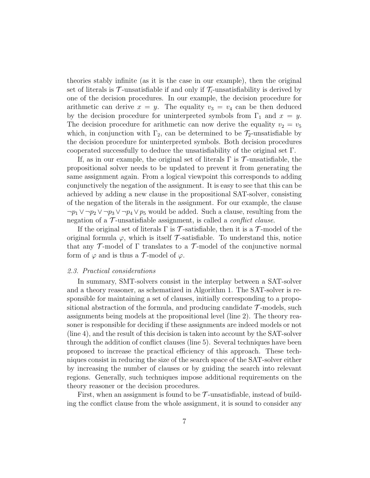theories stably infinite (as it is the case in our example), then the original set of literals is  $\mathcal{T}_{-}$ unsatisfiable if and only if  $\mathcal{T}_{i}$ -unsatisfiability is derived by one of the decision procedures. In our example, the decision procedure for arithmetic can derive  $x = y$ . The equality  $v_3 = v_4$  can be then deduced by the decision procedure for uninterpreted symbols from  $\Gamma_1$  and  $x = y$ . The decision procedure for arithmetic can now derive the equality  $v_2 = v_5$ which, in conjunction with  $\Gamma_2$ , can be determined to be  $\mathcal{T}_2$ -unsatisfiable by the decision procedure for uninterpreted symbols. Both decision procedures cooperated successfully to deduce the unsatisfiability of the original set Γ.

If, as in our example, the original set of literals  $\Gamma$  is  $\mathcal T$ -unsatisfiable, the propositional solver needs to be updated to prevent it from generating the same assignment again. From a logical viewpoint this corresponds to adding conjunctively the negation of the assignment. It is easy to see that this can be achieved by adding a new clause in the propositional SAT-solver, consisting of the negation of the literals in the assignment. For our example, the clause  $\neg p_1 \lor \neg p_2 \lor \neg p_3 \lor \neg p_4 \lor p_5$  would be added. Such a clause, resulting from the negation of a  $\mathcal{T}$ -unsatisfiable assignment, is called a *conflict clause*.

If the original set of literals  $\Gamma$  is  $\mathcal T$ -satisfiable, then it is a  $\mathcal T$ -model of the original formula  $\varphi$ , which is itself T-satisfiable. To understand this, notice that any  $\mathcal T$ -model of  $\Gamma$  translates to a  $\mathcal T$ -model of the conjunctive normal form of  $\varphi$  and is thus a T-model of  $\varphi$ .

#### 2.3. Practical considerations

In summary, SMT-solvers consist in the interplay between a SAT-solver and a theory reasoner, as schematized in Algorithm 1. The SAT-solver is responsible for maintaining a set of clauses, initially corresponding to a propositional abstraction of the formula, and producing candidate  $\mathcal{T}$ -models, such assignments being models at the propositional level (line 2). The theory reasoner is responsible for deciding if these assignments are indeed models or not (line 4), and the result of this decision is taken into account by the SAT-solver through the addition of conflict clauses (line 5). Several techniques have been proposed to increase the practical efficiency of this approach. These techniques consist in reducing the size of the search space of the SAT-solver either by increasing the number of clauses or by guiding the search into relevant regions. Generally, such techniques impose additional requirements on the theory reasoner or the decision procedures.

First, when an assignment is found to be  $\mathcal{T}$ -unsatisfiable, instead of building the conflict clause from the whole assignment, it is sound to consider any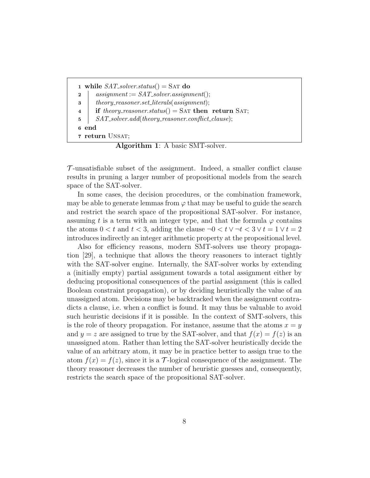```
1 while SAT\_solver\_status() = SAT do
2 assignment := SAT\_solver. assignment;
3 theory_reasoner.set_literals(assignment);
4 if theory reasoner. status() = SAT then return SAT;
5 | SAT_solver.add(theory_reasoner.conflict_clause);
6 end
7 return UNSAT;
```
Algorithm 1: A basic SMT-solver.

 $\mathcal{T}$ -unsatisfiable subset of the assignment. Indeed, a smaller conflict clause results in pruning a larger number of propositional models from the search space of the SAT-solver.

In some cases, the decision procedures, or the combination framework, may be able to generate lemmas from  $\varphi$  that may be useful to guide the search and restrict the search space of the propositional SAT-solver. For instance, assuming t is a term with an integer type, and that the formula  $\varphi$  contains the atoms  $0 < t$  and  $t < 3$ , adding the clause  $\neg 0 < t \vee \neg t < 3 \vee t = 1 \vee t = 2$ introduces indirectly an integer arithmetic property at the propositional level.

Also for efficiency reasons, modern SMT-solvers use theory propagation [29], a technique that allows the theory reasoners to interact tightly with the SAT-solver engine. Internally, the SAT-solver works by extending a (initially empty) partial assignment towards a total assignment either by deducing propositional consequences of the partial assignment (this is called Boolean constraint propagation), or by deciding heuristically the value of an unassigned atom. Decisions may be backtracked when the assignment contradicts a clause, i.e. when a conflict is found. It may thus be valuable to avoid such heuristic decisions if it is possible. In the context of SMT-solvers, this is the role of theory propagation. For instance, assume that the atoms  $x = y$ and  $y = z$  are assigned to true by the SAT-solver, and that  $f(x) = f(z)$  is an unassigned atom. Rather than letting the SAT-solver heuristically decide the value of an arbitrary atom, it may be in practice better to assign true to the atom  $f(x) = f(z)$ , since it is a T-logical consequence of the assignment. The theory reasoner decreases the number of heuristic guesses and, consequently, restricts the search space of the propositional SAT-solver.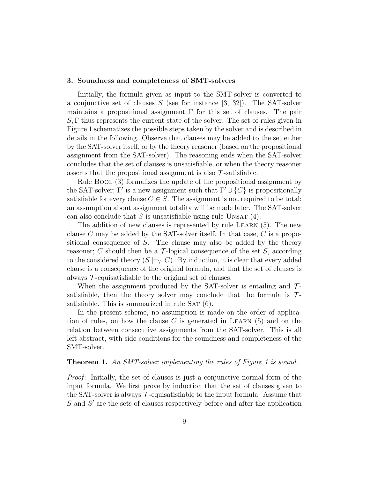#### 3. Soundness and completeness of SMT-solvers

Initially, the formula given as input to the SMT-solver is converted to a conjunctive set of clauses  $S$  (see for instance [3, 32]). The SAT-solver maintains a propositional assignment Γ for this set of clauses. The pair S, Γ thus represents the current state of the solver. The set of rules given in Figure 1 schematizes the possible steps taken by the solver and is described in details in the following. Observe that clauses may be added to the set either by the SAT-solver itself, or by the theory reasoner (based on the propositional assignment from the SAT-solver). The reasoning ends when the SAT-solver concludes that the set of clauses is unsatisfiable, or when the theory reasoner asserts that the propositional assignment is also  $\mathcal{T}$ -satisfiable.

Rule Bool (3) formalizes the update of the propositional assignment by the SAT-solver; Γ' is a new assignment such that  $\Gamma' \cup \{C\}$  is propositionally satisfiable for every clause  $C \in S$ . The assignment is not required to be total; an assumption about assignment totality will be made later. The SAT-solver can also conclude that  $S$  is unsatisfiable using rule UNSAT  $(4)$ .

The addition of new clauses is represented by rule LEARN  $(5)$ . The new clause C may be added by the SAT-solver itself. In that case, C is a propositional consequence of  $S$ . The clause may also be added by the theory reasoner; C should then be a  $\mathcal T$ -logical consequence of the set S, according to the considered theory  $(S \models_{\tau} C)$ . By induction, it is clear that every added clause is a consequence of the original formula, and that the set of clauses is always  $\mathcal T$ -equisatisfiable to the original set of clauses.

When the assignment produced by the SAT-solver is entailing and  $\mathcal{T}$ satisfiable, then the theory solver may conclude that the formula is  $\mathcal{T}$ satisfiable. This is summarized in rule  $SAT(6)$ .

In the present scheme, no assumption is made on the order of application of rules, on how the clause C is generated in LEARN  $(5)$  and on the relation between consecutive assignments from the SAT-solver. This is all left abstract, with side conditions for the soundness and completeness of the SMT-solver.

#### **Theorem 1.** An SMT-solver implementing the rules of Figure 1 is sound.

Proof: Initially, the set of clauses is just a conjunctive normal form of the input formula. We first prove by induction that the set of clauses given to the SAT-solver is always  $\mathcal T$ -equisatisfiable to the input formula. Assume that  $S$  and  $S'$  are the sets of clauses respectively before and after the application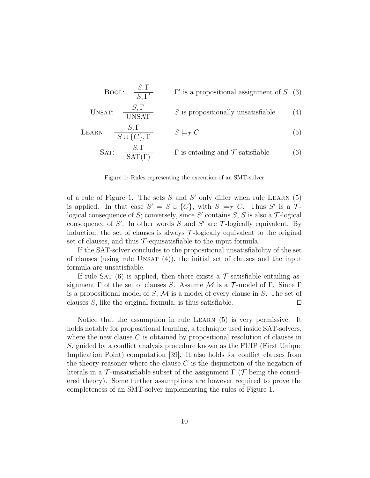Bool: 
$$
\frac{S, \Gamma}{S, \Gamma'}
$$
  $\Gamma'$  is a propositional assignment of S (3)

$$
UNSAT: \quad \frac{S, \Gamma}{UNSAT} \qquad S \text{ is propositionally unsatisfiable} \tag{4}
$$

$$
\text{LEARN:} \quad \frac{S, \Gamma}{S \cup \{C\}, \Gamma} \qquad S \models_{\mathcal{T}} C \tag{5}
$$

SAT: 
$$
\frac{S, \Gamma}{\text{SAT}(\Gamma)}
$$
  $\Gamma$  is entailing and  $\mathcal{T}$ -satisfiable (6)

Figure 1: Rules representing the execution of an SMT-solver

of a rule of Figure 1. The sets  $S$  and  $S'$  only differ when rule LEARN  $(5)$ is applied. In that case  $S' = S \cup \{C\}$ , with  $S \models_{\mathcal{T}} C$ . Thus S' is a  $\mathcal{T}$ logical consequence of S; conversely, since S' contains S, S is also a  $\mathcal{T}$ -logical consequence of S'. In other words S and S' are  $\mathcal T$ -logically equivalent. By induction, the set of clauses is always  $\mathcal{T}$ -logically equivalent to the original set of clauses, and thus  $\mathcal T$ -equisatisfiable to the input formula.

If the SAT-solver concludes to the propositional unsatisfiability of the set of clauses (using rule UNSAT  $(4)$ ), the initial set of clauses and the input formula are unsatisfiable.

If rule SAT (6) is applied, then there exists a  $\mathcal T$ -satisfiable entailing assignment  $\Gamma$  of the set of clauses S. Assume M is a  $\mathcal T$ -model of  $\Gamma$ . Since  $\Gamma$ is a propositional model of  $S$ ,  $\mathcal M$  is a model of every clause in S. The set of clauses S, like the original formula, is thus satisfiable.  $\Box$ 

Notice that the assumption in rule Learn (5) is very permissive. It holds notably for propositional learning, a technique used inside SAT-solvers, where the new clause  $C$  is obtained by propositional resolution of clauses in S, guided by a conflict analysis procedure known as the FUIP (First Unique Implication Point) computation [39]. It also holds for conflict clauses from the theory reasoner where the clause  $C$  is the disjunction of the negation of literals in a  $\mathcal T$ -unsatisfiable subset of the assignment  $\Gamma$  ( $\mathcal T$  being the considered theory). Some further assumptions are however required to prove the completeness of an SMT-solver implementing the rules of Figure 1.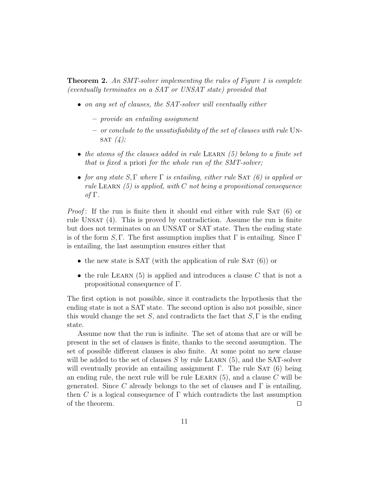**Theorem 2.** An SMT-solver implementing the rules of Figure 1 is complete (eventually terminates on a SAT or UNSAT state) provided that

- on any set of clauses, the SAT-solver will eventually either
	- provide an entailing assignment
	- or conclude to the unsatisfiability of the set of clauses with rule Un-SAT  $(4)$ ;
- the atoms of the clauses added in rule LEARN  $(5)$  belong to a finite set that is fixed a priori for the whole run of the SMT-solver;
- for any state  $S, \Gamma$  where  $\Gamma$  is entailing, either rule SAT (6) is applied or rule LEARN  $(5)$  is applied, with C not being a propositional consequence of Γ.

*Proof*: If the run is finite then it should end either with rule SAT  $(6)$  or rule UNSAT  $(4)$ . This is proved by contradiction. Assume the run is finite but does not terminates on an UNSAT or SAT state. Then the ending state is of the form S, Γ. The first assumption implies that  $\Gamma$  is entailing. Since  $\Gamma$ is entailing, the last assumption ensures either that

- the new state is SAT (with the application of rule SAT  $(6)$ ) or
- the rule LEARN  $(5)$  is applied and introduces a clause C that is not a propositional consequence of Γ.

The first option is not possible, since it contradicts the hypothesis that the ending state is not a SAT state. The second option is also not possible, since this would change the set S, and contradicts the fact that  $S, \Gamma$  is the ending state.

Assume now that the run is infinite. The set of atoms that are or will be present in the set of clauses is finite, thanks to the second assumption. The set of possible different clauses is also finite. At some point no new clause will be added to the set of clauses  $S$  by rule LEARN  $(5)$ , and the SAT-solver will eventually provide an entailing assignment  $\Gamma$ . The rule SAT (6) being an ending rule, the next rule will be rule LEARN  $(5)$ , and a clause C will be generated. Since C already belongs to the set of clauses and  $\Gamma$  is entailing, then C is a logical consequence of  $\Gamma$  which contradicts the last assumption of the theorem.  $\Box$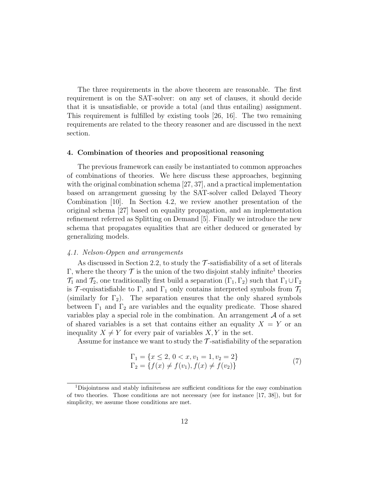The three requirements in the above theorem are reasonable. The first requirement is on the SAT-solver: on any set of clauses, it should decide that it is unsatisfiable, or provide a total (and thus entailing) assignment. This requirement is fulfilled by existing tools [26, 16]. The two remaining requirements are related to the theory reasoner and are discussed in the next section.

## 4. Combination of theories and propositional reasoning

The previous framework can easily be instantiated to common approaches of combinations of theories. We here discuss these approaches, beginning with the original combination schema [27, 37], and a practical implementation based on arrangement guessing by the SAT-solver called Delayed Theory Combination [10]. In Section 4.2, we review another presentation of the original schema [27] based on equality propagation, and an implementation refinement referred as Splitting on Demand [5]. Finally we introduce the new schema that propagates equalities that are either deduced or generated by generalizing models.

## 4.1. Nelson-Oppen and arrangements

As discussed in Section 2.2, to study the  $\mathcal T$ -satisfiability of a set of literals  $\Gamma$ , where the theory  $\mathcal T$  is the union of the two disjoint stably infinite<sup>1</sup> theories  $\mathcal{T}_1$  and  $\mathcal{T}_2$ , one traditionally first build a separation  $(\Gamma_1, \Gamma_2)$  such that  $\Gamma_1 \cup \Gamma_2$ is T-equisatisfiable to Γ, and  $\Gamma_1$  only contains interpreted symbols from  $\mathcal{T}_1$ (similarly for  $\Gamma_2$ ). The separation ensures that the only shared symbols between  $\Gamma_1$  and  $\Gamma_2$  are variables and the equality predicate. Those shared variables play a special role in the combination. An arrangement  $A$  of a set of shared variables is a set that contains either an equality  $X = Y$  or an inequality  $X \neq Y$  for every pair of variables X, Y in the set.

Assume for instance we want to study the  $\mathcal T$ -satisfiability of the separation

$$
\Gamma_1 = \{x \le 2, 0 < x, v_1 = 1, v_2 = 2\} \\
\Gamma_2 = \{f(x) \ne f(v_1), f(x) \ne f(v_2)\}\n\tag{7}
$$

<sup>1</sup>Disjointness and stably infiniteness are sufficient conditions for the easy combination of two theories. Those conditions are not necessary (see for instance [17, 38]), but for simplicity, we assume those conditions are met.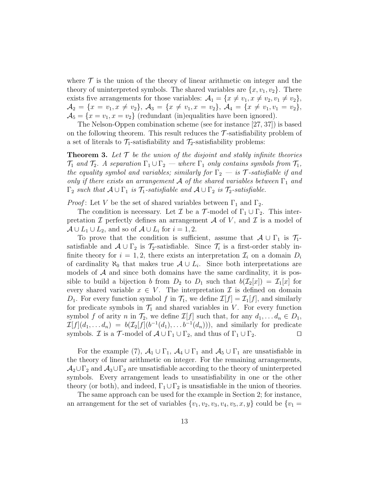where  $\mathcal T$  is the union of the theory of linear arithmetic on integer and the theory of uninterpreted symbols. The shared variables are  $\{x, v_1, v_2\}$ . There exists five arrangements for those variables:  $\mathcal{A}_1 = \{x \neq v_1, x \neq v_2, v_1 \neq v_2\},\$  $\mathcal{A}_2 = \{x = v_1, x \neq v_2\}, \, \mathcal{A}_3 = \{x \neq v_1, x = v_2\}, \, \mathcal{A}_4 = \{x \neq v_1, v_1 = v_2\},$  $\mathcal{A}_5 = \{x = v_1, x = v_2\}$  (redundant (in)equalities have been ignored).

The Nelson-Oppen combination scheme (see for instance [27, 37]) is based on the following theorem. This result reduces the  $\mathcal{T}$ -satisfiability problem of a set of literals to  $\mathcal{T}_1$ -satisfiability and  $\mathcal{T}_2$ -satisfiability problems:

**Theorem 3.** Let  $\mathcal{T}$  be the union of the disjoint and stably infinite theories  $\mathcal{T}_1$  and  $\mathcal{T}_2$ . A separation  $\Gamma_1 \cup \Gamma_2$  — where  $\Gamma_1$  only contains symbols from  $\mathcal{T}_1$ , the equality symbol and variables; similarly for  $\Gamma_2$  — is T-satisfiable if and only if there exists an arrangement A of the shared variables between  $\Gamma_1$  and  $\Gamma_2$  such that  $\mathcal{A} \cup \Gamma_1$  is  $\mathcal{T}_1$ -satisfiable and  $\mathcal{A} \cup \Gamma_2$  is  $\mathcal{T}_2$ -satisfiable.

*Proof*: Let V be the set of shared variables between  $\Gamma_1$  and  $\Gamma_2$ .

The condition is necessary. Let  $\mathcal I$  be a  $\mathcal T$ -model of  $\Gamma_1 \cup \Gamma_2$ . This interpretation  $\mathcal I$  perfectly defines an arrangement  $\mathcal A$  of V, and  $\mathcal I$  is a model of  $\mathcal{A} \cup L_1 \cup L_2$ , and so of  $\mathcal{A} \cup L_i$  for  $i = 1, 2$ .

To prove that the condition is sufficient, assume that  $\mathcal{A} \cup \Gamma_1$  is  $\mathcal{T}_1$ satisfiable and  $\mathcal{A} \cup \Gamma_2$  is  $\mathcal{T}_2$ -satisfiable. Since  $\mathcal{T}_i$  is a first-order stably infinite theory for  $i = 1, 2$ , there exists an interpretation  $\mathcal{I}_i$  on a domain  $D_i$ of cardinality  $\aleph_0$  that makes true  $\mathcal{A} \cup L_i$ . Since both interpretations are models of  $A$  and since both domains have the same cardinality, it is possible to build a bijection b from  $D_2$  to  $D_1$  such that  $b(\mathcal{I}_2[x]) = \mathcal{I}_1[x]$  for every shared variable  $x \in V$ . The interpretation  $\mathcal I$  is defined on domain  $D_1$ . For every function symbol f in  $\mathcal{T}_1$ , we define  $\mathcal{I}[f] = \mathcal{I}_1[f]$ , and similarly for predicate symbols in  $\mathcal{T}_1$  and shared variables in V. For every function symbol f of arity n in  $\mathcal{T}_2$ , we define  $\mathcal{I}[f]$  such that, for any  $d_1, \ldots, d_n \in D_1$ ,  $\mathcal{I}[f](d_1,\ldots,d_n) = b(\mathcal{I}_2[f](b^{-1}(d_1),\ldots,b^{-1}(d_n))),$  and similarly for predicate symbols. *I* is a  $\mathcal{T}$ -model of  $\mathcal{A} \cup \Gamma_1 \cup \Gamma_2$ , and thus of  $\Gamma_1 \cup \Gamma_2$ .

For the example (7),  $\mathcal{A}_1 \cup \Gamma_1$ ,  $\mathcal{A}_4 \cup \Gamma_1$  and  $\mathcal{A}_5 \cup \Gamma_1$  are unsatisfiable in the theory of linear arithmetic on integer. For the remaining arrangements,  $\mathcal{A}_2 \cup \Gamma_2$  and  $\mathcal{A}_3 \cup \Gamma_2$  are unsatisfiable according to the theory of uninterpreted symbols. Every arrangement leads to unsatisfiability in one or the other theory (or both), and indeed,  $\Gamma_1 \cup \Gamma_2$  is unsatisfiable in the union of theories.

The same approach can be used for the example in Section 2; for instance, an arrangement for the set of variables  $\{v_1, v_2, v_3, v_4, v_5, x, y\}$  could be  $\{v_1 =$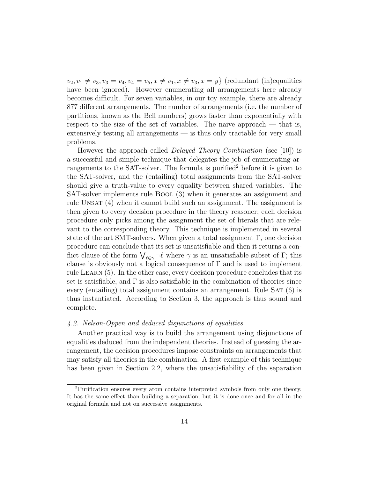$v_2, v_1 \neq v_3, v_3 = v_4, v_4 = v_5, x \neq v_1, x \neq v_3, x = y$  (redundant (in)equalities have been ignored). However enumerating all arrangements here already becomes difficult. For seven variables, in our toy example, there are already 877 different arrangements. The number of arrangements (i.e. the number of partitions, known as the Bell numbers) grows faster than exponentially with respect to the size of the set of variables. The naive approach — that is, extensively testing all arrangements — is thus only tractable for very small problems.

However the approach called *Delayed Theory Combination* (see [10]) is a successful and simple technique that delegates the job of enumerating arrangements to the SAT-solver. The formula is purified<sup>2</sup> before it is given to the SAT-solver, and the (entailing) total assignments from the SAT-solver should give a truth-value to every equality between shared variables. The SAT-solver implements rule Bool (3) when it generates an assignment and rule Unsat (4) when it cannot build such an assignment. The assignment is then given to every decision procedure in the theory reasoner; each decision procedure only picks among the assignment the set of literals that are relevant to the corresponding theory. This technique is implemented in several state of the art SMT-solvers. When given a total assignment Γ, one decision procedure can conclude that its set is unsatisfiable and then it returns a conflict clause of the form  $\bigvee_{\ell \in \gamma} \neg \ell$  where  $\gamma$  is an unsatisfiable subset of  $\Gamma$ ; this clause is obviously not a logical consequence of  $\Gamma$  and is used to implement rule Learn (5). In the other case, every decision procedure concludes that its set is satisfiable, and  $\Gamma$  is also satisfiable in the combination of theories since every (entailing) total assignment contains an arrangement. Rule  $SAT(6)$  is thus instantiated. According to Section 3, the approach is thus sound and complete.

# 4.2. Nelson-Oppen and deduced disjunctions of equalities

Another practical way is to build the arrangement using disjunctions of equalities deduced from the independent theories. Instead of guessing the arrangement, the decision procedures impose constraints on arrangements that may satisfy all theories in the combination. A first example of this technique has been given in Section 2.2, where the unsatisfiability of the separation

<sup>2</sup>Purification ensures every atom contains interpreted symbols from only one theory. It has the same effect than building a separation, but it is done once and for all in the original formula and not on successive assignments.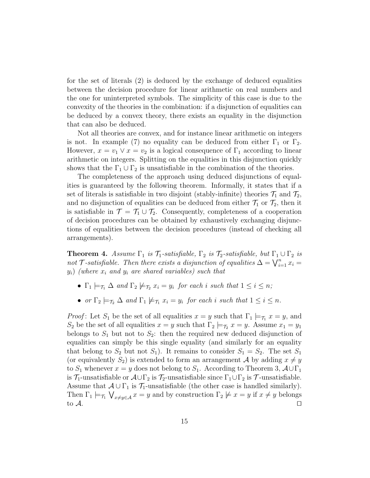for the set of literals (2) is deduced by the exchange of deduced equalities between the decision procedure for linear arithmetic on real numbers and the one for uninterpreted symbols. The simplicity of this case is due to the convexity of the theories in the combination: if a disjunction of equalities can be deduced by a convex theory, there exists an equality in the disjunction that can also be deduced.

Not all theories are convex, and for instance linear arithmetic on integers is not. In example (7) no equality can be deduced from either  $\Gamma_1$  or  $\Gamma_2$ . However,  $x = v_1 \vee x = v_2$  is a logical consequence of  $\Gamma_1$  according to linear arithmetic on integers. Splitting on the equalities in this disjunction quickly shows that the  $\Gamma_1 \cup \Gamma_2$  is unsatisfiable in the combination of the theories.

The completeness of the approach using deduced disjunctions of equalities is guaranteed by the following theorem. Informally, it states that if a set of literals is satisfiable in two disjoint (stably-infinite) theories  $\mathcal{T}_1$  and  $\mathcal{T}_2$ , and no disjunction of equalities can be deduced from either  $\mathcal{T}_1$  or  $\mathcal{T}_2$ , then it is satisfiable in  $\mathcal{T} = \mathcal{T}_1 \cup \mathcal{T}_2$ . Consequently, completeness of a cooperation of decision procedures can be obtained by exhaustively exchanging disjunctions of equalities between the decision procedures (instead of checking all arrangements).

**Theorem 4.** Assume  $\Gamma_1$  is  $\mathcal{T}_1$ -satisfiable,  $\Gamma_2$  is  $\mathcal{T}_2$ -satisfiable, but  $\Gamma_1 \cup \Gamma_2$  is not T-satisfiable. Then there exists a disjunction of equalities  $\Delta = \bigvee_{i=1}^{n} x_i =$  $y_i)$  (where  $x_i$  and  $y_i$  are shared variables) such that

- $\Gamma_1 \models_{\mathcal{T}_1} \Delta$  and  $\Gamma_2 \not\models_{\mathcal{T}_2} x_i = y_i$  for each i such that  $1 \leq i \leq n$ ;
- or  $\Gamma_2 \models_{\mathcal{T}_2} \Delta$  and  $\Gamma_1 \not\models_{\mathcal{T}_1} x_i = y_i$  for each i such that  $1 \leq i \leq n$ .

*Proof*: Let  $S_1$  be the set of all equalities  $x = y$  such that  $\Gamma_1 \models_{\mathcal{T}_1} x = y$ , and  $S_2$  be the set of all equalities  $x = y$  such that  $\Gamma_2 \models_{\mathcal{T}_2} x = y$ . Assume  $x_1 = y_1$ belongs to  $S_1$  but not to  $S_2$ : then the required new deduced disjunction of equalities can simply be this single equality (and similarly for an equality that belong to  $S_2$  but not  $S_1$ ). It remains to consider  $S_1 = S_2$ . The set  $S_1$ (or equivalently  $S_2$ ) is extended to form an arrangement A by adding  $x \neq y$ to  $S_1$  whenever  $x = y$  does not belong to  $S_1$ . According to Theorem 3,  $\mathcal{A} \cup \Gamma_1$ is  $\mathcal{T}_1$ -unsatisfiable or  $\mathcal{A} \cup \Gamma_2$  is  $\mathcal{T}_2$ -unsatisfiable since  $\Gamma_1 \cup \Gamma_2$  is  $\mathcal{T}$ -unsatisfiable. Assume that  $\mathcal{A} \cup \Gamma_1$  is  $\mathcal{T}_1$ -unsatisfiable (the other case is handled similarly). Then  $\Gamma_1 \models_{\tau_1} \bigvee_{x \neq y \in \mathcal{A}} x = y$  and by construction  $\Gamma_2 \not\models x = y$  if  $x \neq y$  belongs to  $\mathcal A$ .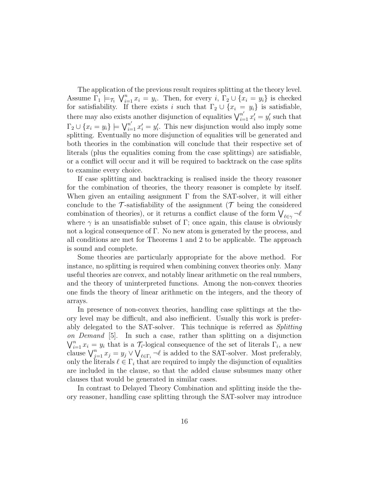The application of the previous result requires splitting at the theory level. Assume  $\Gamma_1 \models_{\tau_1} \bigvee_{i=1}^n x_i = y_i$ . Then, for every  $i, \Gamma_2 \cup \{x_i = y_i\}$  is checked for satisfiability. If there exists i such that  $\Gamma_2 \cup \{x_i = y_i\}$  is satisfiable, there may also exists another disjunction of equalities  $\bigvee_{i=1}^{n'} x'_i = y'_i$  such that  $\Gamma_2 \cup \{x_i = y_i\} \models \bigvee_{i=1}^{n'} x'_i = y'_i$ . This new disjunction would also imply some splitting. Eventually no more disjunction of equalities will be generated and both theories in the combination will conclude that their respective set of literals (plus the equalities coming from the case splittings) are satisfiable, or a conflict will occur and it will be required to backtrack on the case splits to examine every choice.

If case splitting and backtracking is realised inside the theory reasoner for the combination of theories, the theory reasoner is complete by itself. When given an entailing assignment  $\Gamma$  from the SAT-solver, it will either conclude to the  $\mathcal T$ -satisfiability of the assignment ( $\mathcal T$  being the considered combination of theories), or it returns a conflict clause of the form  $\bigvee_{\ell \in \gamma} \neg \ell$ where  $\gamma$  is an unsatisfiable subset of Γ; once again, this clause is obviously not a logical consequence of Γ. No new atom is generated by the process, and all conditions are met for Theorems 1 and 2 to be applicable. The approach is sound and complete.

Some theories are particularly appropriate for the above method. For instance, no splitting is required when combining convex theories only. Many useful theories are convex, and notably linear arithmetic on the real numbers, and the theory of uninterpreted functions. Among the non-convex theories one finds the theory of linear arithmetic on the integers, and the theory of arrays.

In presence of non-convex theories, handling case splittings at the theory level may be difficult, and also inefficient. Usually this work is preferably delegated to the SAT-solver. This technique is referred as Splitting on Demand [5]. In such a case, rather than splitting on a disjunction  $\bigvee_{i=1}^{n} x_i = y_i$  that is a  $\mathcal{T}_i$ -logical consequence of the set of literals  $\Gamma_i$ , a new clause  $\bigvee_{j=1}^{n} x_j = y_j \vee \bigvee_{\ell \in \Gamma_i} \neg \ell$  is added to the SAT-solver. Most preferably, only the literals  $\ell \in \Gamma_i$  that are required to imply the disjunction of equalities are included in the clause, so that the added clause subsumes many other clauses that would be generated in similar cases.

In contrast to Delayed Theory Combination and splitting inside the theory reasoner, handling case splitting through the SAT-solver may introduce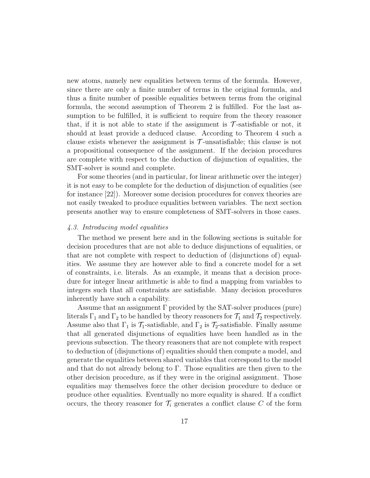new atoms, namely new equalities between terms of the formula. However, since there are only a finite number of terms in the original formula, and thus a finite number of possible equalities between terms from the original formula, the second assumption of Theorem 2 is fulfilled. For the last assumption to be fulfilled, it is sufficient to require from the theory reasoner that, if it is not able to state if the assignment is  $\mathcal{T}$ -satisfiable or not, it should at least provide a deduced clause. According to Theorem 4 such a clause exists whenever the assignment is  $\mathcal{T}$ -unsatisfiable; this clause is not a propositional consequence of the assignment. If the decision procedures are complete with respect to the deduction of disjunction of equalities, the SMT-solver is sound and complete.

For some theories (and in particular, for linear arithmetic over the integer) it is not easy to be complete for the deduction of disjunction of equalities (see for instance [22]). Moreover some decision procedures for convex theories are not easily tweaked to produce equalities between variables. The next section presents another way to ensure completeness of SMT-solvers in those cases.

#### 4.3. Introducing model equalities

The method we present here and in the following sections is suitable for decision procedures that are not able to deduce disjunctions of equalities, or that are not complete with respect to deduction of (disjunctions of) equalities. We assume they are however able to find a concrete model for a set of constraints, i.e. literals. As an example, it means that a decision procedure for integer linear arithmetic is able to find a mapping from variables to integers such that all constraints are satisfiable. Many decision procedures inherently have such a capability.

Assume that an assignment  $\Gamma$  provided by the SAT-solver produces (pure) literals  $\Gamma_1$  and  $\Gamma_2$  to be handled by theory reasoners for  $\mathcal{T}_1$  and  $\mathcal{T}_2$  respectively. Assume also that  $\Gamma_1$  is  $\mathcal{T}_1$ -satisfiable, and  $\Gamma_2$  is  $\mathcal{T}_2$ -satisfiable. Finally assume that all generated disjunctions of equalities have been handled as in the previous subsection. The theory reasoners that are not complete with respect to deduction of (disjunctions of) equalities should then compute a model, and generate the equalities between shared variables that correspond to the model and that do not already belong to  $\Gamma$ . Those equalities are then given to the other decision procedure, as if they were in the original assignment. Those equalities may themselves force the other decision procedure to deduce or produce other equalities. Eventually no more equality is shared. If a conflict occurs, the theory reasoner for  $\mathcal{T}_i$  generates a conflict clause C of the form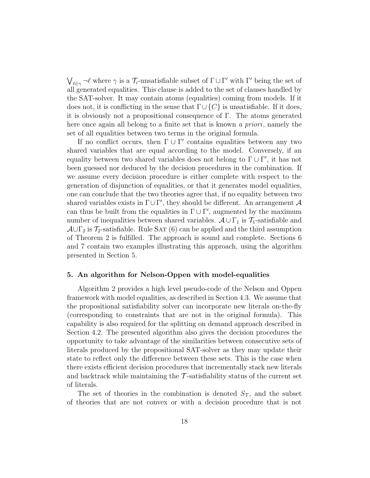$\bigvee_{\ell \in \gamma} \neg \ell$  where  $\gamma$  is a  $\mathcal{T}_i$ -unsatisfiable subset of  $\Gamma \cup \Gamma'$  with  $\Gamma'$  being the set of all generated equalities. This clause is added to the set of clauses handled by the SAT-solver. It may contain atoms (equalities) coming from models. If it does not, it is conflicting in the sense that  $\Gamma \cup \{C\}$  is unsatisfiable. If it does, it is obviously not a propositional consequence of Γ. The atoms generated here once again all belong to a finite set that is known a priori, namely the set of all equalities between two terms in the original formula.

If no conflict occurs, then  $\Gamma \cup \Gamma'$  contains equalities between any two shared variables that are equal according to the model. Conversely, if an equality between two shared variables does not belong to  $\Gamma \cup \Gamma'$ , it has not been guessed nor deduced by the decision procedures in the combination. If we assume every decision procedure is either complete with respect to the generation of disjunction of equalities, or that it generates model equalities, one can conclude that the two theories agree that, if no equality between two shared variables exists in  $\Gamma \cup \Gamma'$ , they should be different. An arrangement A can thus be built from the equalities in  $\Gamma \cup \Gamma'$ , augmented by the maximum number of inequalities between shared variables.  $\mathcal{A} \cup \Gamma_1$  is  $\mathcal{T}_1$ -satisfiable and  $\mathcal{A}\cup\Gamma_2$  is  $\mathcal{T}_2$ -satisfiable. Rule SAT (6) can be applied and the third assumption of Theorem 2 is fulfilled. The approach is sound and complete. Sections 6 and 7 contain two examples illustrating this approach, using the algorithm presented in Section 5.

## 5. An algorithm for Nelson-Oppen with model-equalities

Algorithm 2 provides a high level pseudo-code of the Nelson and Oppen framework with model equalities, as described in Section 4.3. We assume that the propositional satisfiability solver can incorporate new literals on-the-fly (corresponding to constraints that are not in the original formula). This capability is also required for the splitting on demand approach described in Section 4.2. The presented algorithm also gives the decision procedures the opportunity to take advantage of the similarities between consecutive sets of literals produced by the propositional SAT-solver as they may update their state to reflect only the difference between these sets. This is the case when there exists efficient decision procedures that incrementally stack new literals and backtrack while maintaining the  $\mathcal T$ -satisfiability status of the current set of literals.

The set of theories in the combination is denoted  $S_{\mathcal{T}}$ , and the subset of theories that are not convex or with a decision procedure that is not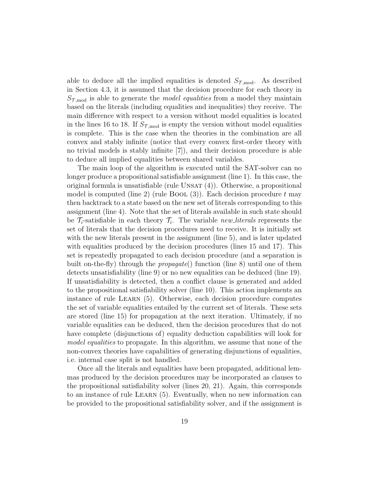able to deduce all the implied equalities is denoted  $S_{\tau,\text{mod}}$ . As described in Section 4.3, it is assumed that the decision procedure for each theory in  $S_{\mathcal{T},\text{mod}}$  is able to generate the *model equalities* from a model they maintain based on the literals (including equalities and inequalities) they receive. The main difference with respect to a version without model equalities is located in the lines 16 to 18. If  $S_{\tau,\text{mod}}$  is empty the version without model equalities is complete. This is the case when the theories in the combination are all convex and stably infinite (notice that every convex first-order theory with no trivial models is stably infinite [7]), and their decision procedure is able to deduce all implied equalities between shared variables.

The main loop of the algorithm is executed until the SAT-solver can no longer produce a propositional satisfiable assignment (line 1). In this case, the original formula is unsatisfiable (rule UNSAT $(4)$ ). Otherwise, a propositional model is computed (line 2) (rule BOOL  $(3)$ ). Each decision procedure t may then backtrack to a state based on the new set of literals corresponding to this assignment (line 4). Note that the set of literals available in such state should be  $\mathcal{T}_i$ -satisfiable in each theory  $\mathcal{T}_i$ . The variable new literals represents the set of literals that the decision procedures need to receive. It is initially set with the new literals present in the assignment (line 5), and is later updated with equalities produced by the decision procedures (lines 15 and 17). This set is repeatedly propagated to each decision procedure (and a separation is built on-the-fly) through the *propagate*() function (line 8) until one of them detects unsatisfiability (line 9) or no new equalities can be deduced (line 19). If unsatisfiability is detected, then a conflict clause is generated and added to the propositional satisfiability solver (line 10). This action implements an instance of rule Learn (5). Otherwise, each decision procedure computes the set of variable equalities entailed by the current set of literals. These sets are stored (line 15) for propagation at the next iteration. Ultimately, if no variable equalities can be deduced, then the decision procedures that do not have complete (disjunctions of) equality deduction capabilities will look for model equalities to propagate. In this algorithm, we assume that none of the non-convex theories have capabilities of generating disjunctions of equalities, i.e. internal case split is not handled.

Once all the literals and equalities have been propagated, additional lemmas produced by the decision procedures may be incorporated as clauses to the propositional satisfiability solver (lines 20, 21). Again, this corresponds to an instance of rule Learn (5). Eventually, when no new information can be provided to the propositional satisfiability solver, and if the assignment is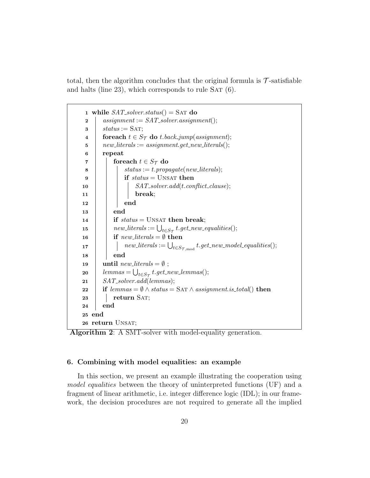total, then the algorithm concludes that the original formula is  $\mathcal{T}$ -satisfiable and halts (line 23), which corresponds to rule  $SAT(6)$ .

```
1 while SAT\_solver\_status() = SAT do
 2 assignment := SAT\_solver. assignment();
 \texttt{s} | status := SAT;
 4 for each t \in S_{\mathcal{T}} do t.back_jump(assignment);
 5 | new_literals := assignment.get_new_literals();
 6 repeat
 7 | foreach t \in S_{\mathcal{T}} do
 \begin{array}{c|c} \mathbf{8} & | & | & \text{status} := t.\text{propagate}(new\_literals); \end{array}9 | | if status = UNSAT then
10 | SAT_solver.add(t.conflict_clause);
11 | | | break;
12 | | end
13 end
14 if status = UNSAT then break;
\begin{array}{c|c} \hline \text{15} & new\_literals := \bigcup_{t \in S_{\mathcal{T}}} t.get\_new\_equalities(); \hline \end{array}16 | if new\_literals = \emptyset then
\begin{array}{ll} \texttt{17} & \hspace{0.1cm} \mid & \hspace{0.1cm} \mid & new\_l္: = \bigcup_{t \in S_{\mathcal{T},\text{mod}}} t.get\_new\_model\_equalities(); \end{array}18 end
19 | until new\_literals = \emptyset;
{\it 20} \quad \  \big| \quad {\it lemmas} = \bigcup_{t \in S_{\cal T}} t.get\_new\_lemma();21 SAT_solver.add(lemmas);
22 if lemmas = \emptyset \wedge status = \text{SAT} \wedge assignment.is\_total() then
23 return SAT;
24 end
25 end
26 return UNSAT;
```
Algorithm 2: A SMT-solver with model-equality generation.

# 6. Combining with model equalities: an example

In this section, we present an example illustrating the cooperation using model equalities between the theory of uninterpreted functions (UF) and a fragment of linear arithmetic, i.e. integer difference logic (IDL); in our framework, the decision procedures are not required to generate all the implied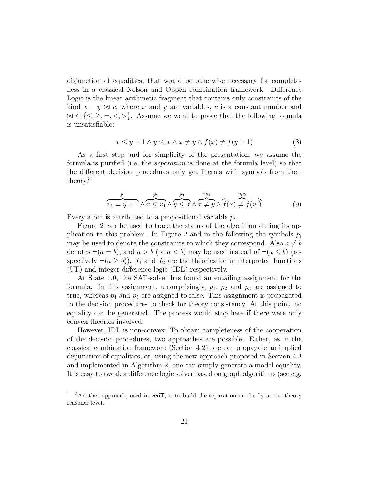disjunction of equalities, that would be otherwise necessary for completeness in a classical Nelson and Oppen combination framework. Difference Logic is the linear arithmetic fragment that contains only constraints of the kind  $x - y \bowtie c$ , where x and y are variables, c is a constant number and  $\bowtie \in \{\leq, \geq, =, <, >\}.$  Assume we want to prove that the following formula is unsatisfiable:

$$
x \le y + 1 \land y \le x \land x \ne y \land f(x) \ne f(y+1)
$$
 (8)

As a first step and for simplicity of the presentation, we assume the formula is purified (i.e. the separation is done at the formula level) so that the different decision procedures only get literals with symbols from their theory.<sup>3</sup>

$$
v_1 = y + 1 \wedge x \le v_1 \wedge y \le x \wedge x \neq y \wedge f(x) \neq f(v_1)
$$
\n
$$
(9)
$$

Every atom is attributed to a propositional variable  $p_i$ .

Figure 2 can be used to trace the status of the algorithm during its application to this problem. In Figure 2 and in the following the symbols  $p_i$ may be used to denote the constraints to which they correspond. Also  $a \neq b$ denotes  $\neg(a = b)$ , and  $a > b$  (or  $a < b$ ) may be used instead of  $\neg(a \leq b)$  (respectively  $\neg(a \ge b)$ .  $\mathcal{T}_1$  and  $\mathcal{T}_2$  are the theories for uninterpreted functions (UF) and integer difference logic (IDL) respectively.

At State 1.0, the SAT-solver has found an entailing assignment for the formula. In this assignment, unsurprisingly,  $p_1$ ,  $p_2$  and  $p_3$  are assigned to true, whereas  $p_4$  and  $p_5$  are assigned to false. This assignment is propagated to the decision procedures to check for theory consistency. At this point, no equality can be generated. The process would stop here if there were only convex theories involved.

However, IDL is non-convex. To obtain completeness of the cooperation of the decision procedures, two approaches are possible. Either, as in the classical combination framework (Section 4.2) one can propagate an implied disjunction of equalities, or, using the new approach proposed in Section 4.3 and implemented in Algorithm 2, one can simply generate a model equality. It is easy to tweak a difference logic solver based on graph algorithms (see e.g.

<sup>&</sup>lt;sup>3</sup>Another approach, used in veriT, it to build the separation on-the-fly at the theory reasoner level.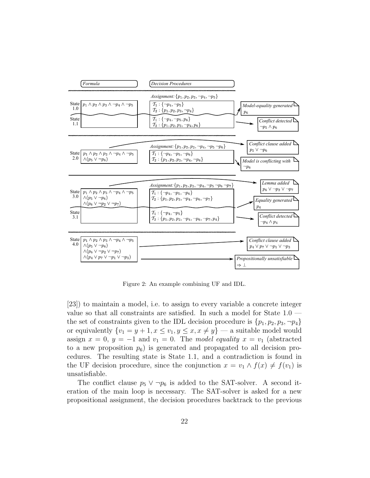

Figure 2: An example combining UF and IDL.

[23]) to maintain a model, i.e. to assign to every variable a concrete integer value so that all constraints are satisfied. In such a model for State 1.0 the set of constraints given to the IDL decision procedure is  $\{p_1, p_2, p_3, \neg p_4\}$ or equivalently  $\{v_1 = y + 1, x \le v_1, y \le x, x \ne y\}$  — a suitable model would assign  $x = 0$ ,  $y = -1$  and  $v_1 = 0$ . The model equality  $x = v_1$  (abstracted to a new proposition  $p_6$ ) is generated and propagated to all decision procedures. The resulting state is State 1.1, and a contradiction is found in the UF decision procedure, since the conjunction  $x = v_1 \wedge f(x) \neq f(v_1)$  is unsatisfiable.

The conflict clause  $p_5 \vee \neg p_6$  is added to the SAT-solver. A second iteration of the main loop is necessary. The SAT-solver is asked for a new propositional assignment, the decision procedures backtrack to the previous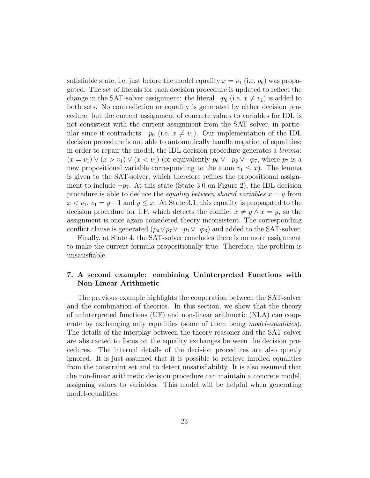satisfiable state, i.e. just before the model equality  $x = v_1$  (i.e.  $p_6$ ) was propagated. The set of literals for each decision procedure is updated to reflect the change in the SAT-solver assignment: the literal  $\neg p_6$  (i.e.  $x \neq v_1$ ) is added to both sets. No contradiction or equality is generated by either decision procedure, but the current assignment of concrete values to variables for IDL is not consistent with the current assignment from the SAT solver, in particular since it contradicts  $\neg p_6$  (i.e.  $x \neq v_1$ ). Our implementation of the IDL decision procedure is not able to automatically handle negation of equalities; in order to repair the model, the IDL decision procedure generates a lemma:  $(x = v_1) \vee (x > v_1) \vee (x < v_1)$  (or equivalently  $p_6 \vee \neg p_2 \vee \neg p_7$ , where  $p_7$  is a new propositional variable corresponding to the atom  $v_1 \leq x$ ). The lemma is given to the SAT-solver, which therefore refines the propositional assignment to include  $\neg p_7$ . At this state (State 3.0 on Figure 2), the IDL decision procedure is able to deduce the *equality between shared variables*  $x = y$  from  $x < v_1, v_1 = y + 1$  and  $y \leq x$ . At State 3.1, this equality is propagated to the decision procedure for UF, which detects the conflict  $x \neq y \wedge x = y$ , so the assignment is once again considered theory inconsistent. The corresponding conflict clause is generated  $(p_4 \vee p_7 \vee \neg p_1 \vee \neg p_3)$  and added to the SAT-solver.

Finally, at State 4, the SAT-solver concludes there is no more assignment to make the current formula propositionally true. Therefore, the problem is unsatisfiable.

# 7. A second example: combining Uninterpreted Functions with Non-Linear Arithmetic

The previous example highlights the cooperation between the SAT-solver and the combination of theories. In this section, we show that the theory of uninterpreted functions (UF) and non-linear arithmetic (NLA) can cooperate by exchanging only equalities (some of them being *model-equalities*). The details of the interplay between the theory reasoner and the SAT-solver are abstracted to focus on the equality exchanges between the decision procedures. The internal details of the decision procedures are also quietly ignored. It is just assumed that it is possible to retrieve implied equalities from the constraint set and to detect unsatisfiability. It is also assumed that the non-linear arithmetic decision procedure can maintain a concrete model, assigning values to variables. This model will be helpful when generating model-equalities.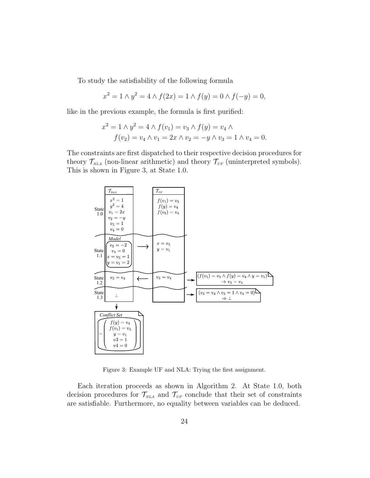To study the satisfiability of the following formula

$$
x^{2} = 1 \wedge y^{2} = 4 \wedge f(2x) = 1 \wedge f(y) = 0 \wedge f(-y) = 0,
$$

like in the previous example, the formula is first purified:

$$
x^{2} = 1 \wedge y^{2} = 4 \wedge f(v_{1}) = v_{3} \wedge f(y) = v_{4} \wedge f(v_{2}) = v_{4} \wedge v_{1} = 2x \wedge v_{2} = -y \wedge v_{3} = 1 \wedge v_{4} = 0.
$$

The constraints are first dispatched to their respective decision procedures for theory  $\mathcal{T}_{NLA}$  (non-linear arithmetic) and theory  $\mathcal{T}_{UF}$  (uninterpreted symbols). This is shown in Figure 3, at State 1.0.



Figure 3: Example UF and NLA: Trying the first assignment.

Each iteration proceeds as shown in Algorithm 2. At State 1.0, both decision procedures for  $\mathcal{T}_{NLA}$  and  $\mathcal{T}_{UF}$  conclude that their set of constraints are satisfiable. Furthermore, no equality between variables can be deduced.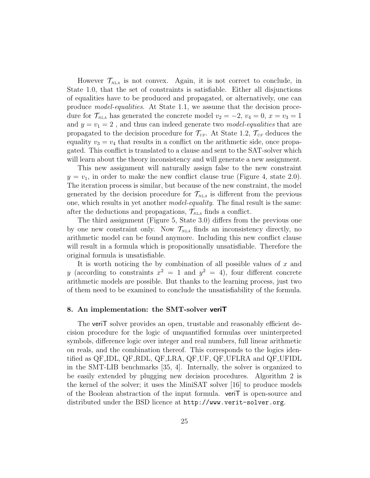However  $\mathcal{T}_{NLA}$  is not convex. Again, it is not correct to conclude, in State 1.0, that the set of constraints is satisfiable. Either all disjunctions of equalities have to be produced and propagated, or alternatively, one can produce model-equalities. At State 1.1, we assume that the decision procedure for  $\mathcal{T}_{NLA}$  has generated the concrete model  $v_2 = -2$ ,  $v_4 = 0$ ,  $x = v_3 = 1$ and  $y = v_1 = 2$ , and thus can indeed generate two *model-equalities* that are propagated to the decision procedure for  $\mathcal{T}_{UF}$ . At State 1.2,  $\mathcal{T}_{UF}$  deduces the equality  $v_3 = v_4$  that results in a conflict on the arithmetic side, once propagated. This conflict is translated to a clause and sent to the SAT-solver which will learn about the theory inconsistency and will generate a new assignment.

This new assignment will naturally assign false to the new constraint  $y = v_1$ , in order to make the new conflict clause true (Figure 4, state 2.0). The iteration process is similar, but because of the new constraint, the model generated by the decision procedure for  $\mathcal{T}_{NLA}$  is different from the previous one, which results in yet another model-equality. The final result is the same: after the deductions and propagations,  $\mathcal{T}_{NLA}$  finds a conflict.

The third assignment (Figure 5, State 3.0) differs from the previous one by one new constraint only. Now  $\mathcal{T}_{NLA}$  finds an inconsistency directly, no arithmetic model can be found anymore. Including this new conflict clause will result in a formula which is propositionally unsatisfiable. Therefore the original formula is unsatisfiable.

It is worth noticing the by combination of all possible values of  $x$  and y (according to constraints  $x^2 = 1$  and  $y^2 = 4$ ), four different concrete arithmetic models are possible. But thanks to the learning process, just two of them need to be examined to conclude the unsatisfiability of the formula.

#### 8. An implementation: the SMT-solver veriT

The veriT solver provides an open, trustable and reasonably efficient decision procedure for the logic of unquantified formulas over uninterpreted symbols, difference logic over integer and real numbers, full linear arithmetic on reals, and the combination thereof. This corresponds to the logics identified as QF\_IDL, QF\_RDL, QF\_LRA, QF\_UF, QF\_UFLRA and QF\_UFIDL in the SMT-LIB benchmarks [35, 4]. Internally, the solver is organized to be easily extended by plugging new decision procedures. Algorithm 2 is the kernel of the solver; it uses the MiniSAT solver [16] to produce models of the Boolean abstraction of the input formula. veriT is open-source and distributed under the BSD licence at http://www.verit-solver.org.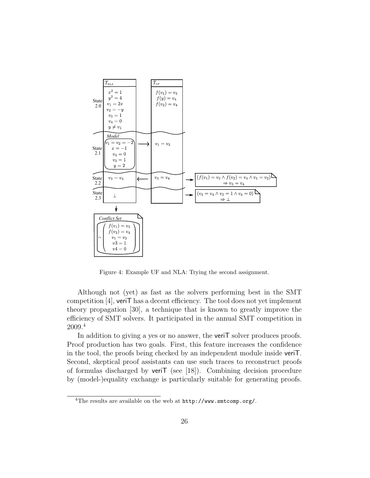

Figure 4: Example UF and NLA: Trying the second assignment.

Although not (yet) as fast as the solvers performing best in the SMT competition [4], veriT has a decent efficiency. The tool does not yet implement theory propagation [30], a technique that is known to greatly improve the efficiency of SMT solvers. It participated in the annual SMT competition in 2009.<sup>4</sup>

In addition to giving a yes or no answer, the **veriT** solver produces proofs. Proof production has two goals. First, this feature increases the confidence in the tool, the proofs being checked by an independent module inside veriT. Second, skeptical proof assistants can use such traces to reconstruct proofs of formulas discharged by veriT (see [18]). Combining decision procedure by (model-)equality exchange is particularly suitable for generating proofs.

<sup>4</sup>The results are available on the web at http://www.smtcomp.org/.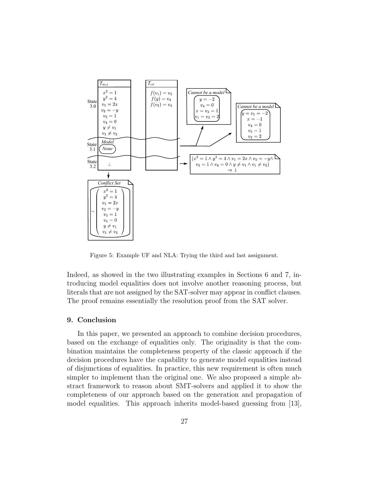

Figure 5: Example UF and NLA: Trying the third and last assignment.

Indeed, as showed in the two illustrating examples in Sections 6 and 7, introducing model equalities does not involve another reasoning process, but literals that are not assigned by the SAT-solver may appear in conflict clauses. The proof remains essentially the resolution proof from the SAT solver.

# 9. Conclusion

In this paper, we presented an approach to combine decision procedures, based on the exchange of equalities only. The originality is that the combination maintains the completeness property of the classic approach if the decision procedures have the capability to generate model equalities instead of disjunctions of equalities. In practice, this new requirement is often much simpler to implement than the original one. We also proposed a simple abstract framework to reason about SMT-solvers and applied it to show the completeness of our approach based on the generation and propagation of model equalities. This approach inherits model-based guessing from [13],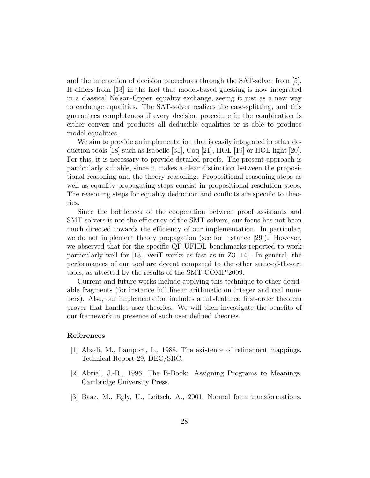and the interaction of decision procedures through the SAT-solver from [5]. It differs from [13] in the fact that model-based guessing is now integrated in a classical Nelson-Oppen equality exchange, seeing it just as a new way to exchange equalities. The SAT-solver realizes the case-splitting, and this guarantees completeness if every decision procedure in the combination is either convex and produces all deducible equalities or is able to produce model-equalities.

We aim to provide an implementation that is easily integrated in other deduction tools [18] such as Isabelle [31], Coq [21], HOL [19] or HOL-light [20]. For this, it is necessary to provide detailed proofs. The present approach is particularly suitable, since it makes a clear distinction between the propositional reasoning and the theory reasoning. Propositional reasoning steps as well as equality propagating steps consist in propositional resolution steps. The reasoning steps for equality deduction and conflicts are specific to theories.

Since the bottleneck of the cooperation between proof assistants and SMT-solvers is not the efficiency of the SMT-solvers, our focus has not been much directed towards the efficiency of our implementation. In particular, we do not implement theory propagation (see for instance [29]). However, we observed that for the specific QF UFIDL benchmarks reported to work particularly well for [13], veriT works as fast as in  $Z3$  [14]. In general, the performances of our tool are decent compared to the other state-of-the-art tools, as attested by the results of the SMT-COMP'2009.

Current and future works include applying this technique to other decidable fragments (for instance full linear arithmetic on integer and real numbers). Also, our implementation includes a full-featured first-order theorem prover that handles user theories. We will then investigate the benefits of our framework in presence of such user defined theories.

## References

- [1] Abadi, M., Lamport, L., 1988. The existence of refinement mappings. Technical Report 29, DEC/SRC.
- [2] Abrial, J.-R., 1996. The B-Book: Assigning Programs to Meanings. Cambridge University Press.
- [3] Baaz, M., Egly, U., Leitsch, A., 2001. Normal form transformations.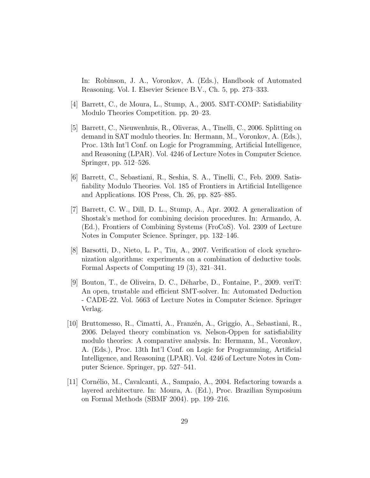In: Robinson, J. A., Voronkov, A. (Eds.), Handbook of Automated Reasoning. Vol. I. Elsevier Science B.V., Ch. 5, pp. 273–333.

- [4] Barrett, C., de Moura, L., Stump, A., 2005. SMT-COMP: Satisfiability Modulo Theories Competition. pp. 20–23.
- [5] Barrett, C., Nieuwenhuis, R., Oliveras, A., Tinelli, C., 2006. Splitting on demand in SAT modulo theories. In: Hermann, M., Voronkov, A. (Eds.), Proc. 13th Int'l Conf. on Logic for Programming, Artificial Intelligence, and Reasoning (LPAR). Vol. 4246 of Lecture Notes in Computer Science. Springer, pp. 512–526.
- [6] Barrett, C., Sebastiani, R., Seshia, S. A., Tinelli, C., Feb. 2009. Satisfiability Modulo Theories. Vol. 185 of Frontiers in Artificial Intelligence and Applications. IOS Press, Ch. 26, pp. 825–885.
- [7] Barrett, C. W., Dill, D. L., Stump, A., Apr. 2002. A generalization of Shostak's method for combining decision procedures. In: Armando, A. (Ed.), Frontiers of Combining Systems (FroCoS). Vol. 2309 of Lecture Notes in Computer Science. Springer, pp. 132–146.
- [8] Barsotti, D., Nieto, L. P., Tiu, A., 2007. Verification of clock synchronization algorithms: experiments on a combination of deductive tools. Formal Aspects of Computing 19 (3), 321–341.
- [9] Bouton, T., de Oliveira, D. C., D´eharbe, D., Fontaine, P., 2009. veriT: An open, trustable and efficient SMT-solver. In: Automated Deduction - CADE-22. Vol. 5663 of Lecture Notes in Computer Science. Springer Verlag.
- [10] Bruttomesso, R., Cimatti, A., Franz´en, A., Griggio, A., Sebastiani, R., 2006. Delayed theory combination vs. Nelson-Oppen for satisfiability modulo theories: A comparative analysis. In: Hermann, M., Voronkov, A. (Eds.), Proc. 13th Int'l Conf. on Logic for Programming, Artificial Intelligence, and Reasoning (LPAR). Vol. 4246 of Lecture Notes in Computer Science. Springer, pp. 527–541.
- [11] Cornélio, M., Cavalcanti, A., Sampaio, A., 2004. Refactoring towards a layered architecture. In: Moura, A. (Ed.), Proc. Brazilian Symposium on Formal Methods (SBMF 2004). pp. 199–216.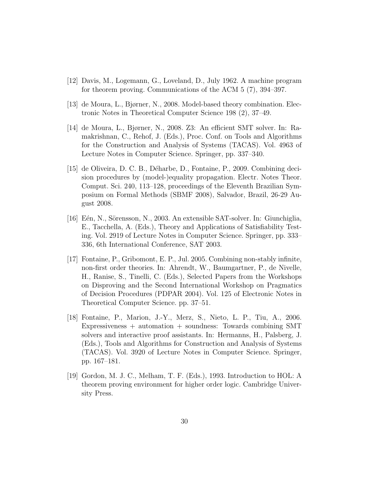- [12] Davis, M., Logemann, G., Loveland, D., July 1962. A machine program for theorem proving. Communications of the ACM 5 (7), 394–397.
- [13] de Moura, L., Bjørner, N., 2008. Model-based theory combination. Electronic Notes in Theoretical Computer Science 198 (2), 37–49.
- [14] de Moura, L., Bjørner, N., 2008. Z3: An efficient SMT solver. In: Ramakrishnan, C., Rehof, J. (Eds.), Proc. Conf. on Tools and Algorithms for the Construction and Analysis of Systems (TACAS). Vol. 4963 of Lecture Notes in Computer Science. Springer, pp. 337–340.
- [15] de Oliveira, D. C. B., Déharbe, D., Fontaine, P., 2009. Combining decision procedures by (model-)equality propagation. Electr. Notes Theor. Comput. Sci. 240, 113–128, proceedings of the Eleventh Brazilian Symposium on Formal Methods (SBMF 2008), Salvador, Brazil, 26-29 August 2008.
- [16] Eến, N., Sörensson, N., 2003. An extensible SAT-solver. In: Giunchiglia, E., Tacchella, A. (Eds.), Theory and Applications of Satisfiability Testing. Vol. 2919 of Lecture Notes in Computer Science. Springer, pp. 333– 336, 6th International Conference, SAT 2003.
- [17] Fontaine, P., Gribomont, E. P., Jul. 2005. Combining non-stably infinite, non-first order theories. In: Ahrendt, W., Baumgartner, P., de Nivelle, H., Ranise, S., Tinelli, C. (Eds.), Selected Papers from the Workshops on Disproving and the Second International Workshop on Pragmatics of Decision Procedures (PDPAR 2004). Vol. 125 of Electronic Notes in Theoretical Computer Science. pp. 37–51.
- [18] Fontaine, P., Marion, J.-Y., Merz, S., Nieto, L. P., Tiu, A., 2006. Expressiveness + automation + soundness: Towards combining SMT solvers and interactive proof assistants. In: Hermanns, H., Palsberg, J. (Eds.), Tools and Algorithms for Construction and Analysis of Systems (TACAS). Vol. 3920 of Lecture Notes in Computer Science. Springer, pp. 167–181.
- [19] Gordon, M. J. C., Melham, T. F. (Eds.), 1993. Introduction to HOL: A theorem proving environment for higher order logic. Cambridge University Press.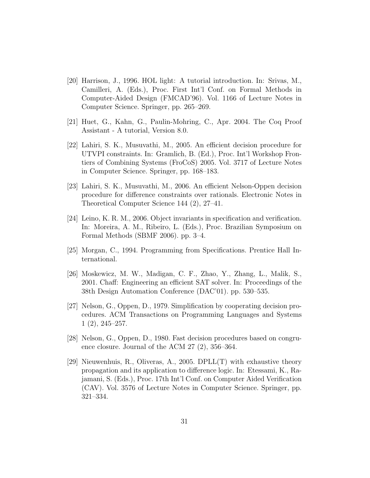- [20] Harrison, J., 1996. HOL light: A tutorial introduction. In: Srivas, M., Camilleri, A. (Eds.), Proc. First Int'l Conf. on Formal Methods in Computer-Aided Design (FMCAD'96). Vol. 1166 of Lecture Notes in Computer Science. Springer, pp. 265–269.
- [21] Huet, G., Kahn, G., Paulin-Mohring, C., Apr. 2004. The Coq Proof Assistant - A tutorial, Version 8.0.
- [22] Lahiri, S. K., Musuvathi, M., 2005. An efficient decision procedure for UTVPI constraints. In: Gramlich, B. (Ed.), Proc. Int'l Workshop Frontiers of Combining Systems (FroCoS) 2005. Vol. 3717 of Lecture Notes in Computer Science. Springer, pp. 168–183.
- [23] Lahiri, S. K., Musuvathi, M., 2006. An efficient Nelson-Oppen decision procedure for difference constraints over rationals. Electronic Notes in Theoretical Computer Science 144 (2), 27–41.
- [24] Leino, K. R. M., 2006. Object invariants in specification and verification. In: Moreira, A. M., Ribeiro, L. (Eds.), Proc. Brazilian Symposium on Formal Methods (SBMF 2006). pp. 3–4.
- [25] Morgan, C., 1994. Programming from Specifications. Prentice Hall International.
- [26] Moskewicz, M. W., Madigan, C. F., Zhao, Y., Zhang, L., Malik, S., 2001. Chaff: Engineering an efficient SAT solver. In: Proceedings of the 38th Design Automation Conference (DAC'01). pp. 530–535.
- [27] Nelson, G., Oppen, D., 1979. Simplification by cooperating decision procedures. ACM Transactions on Programming Languages and Systems 1 (2), 245–257.
- [28] Nelson, G., Oppen, D., 1980. Fast decision procedures based on congruence closure. Journal of the ACM 27 (2), 356–364.
- [29] Nieuwenhuis, R., Oliveras, A., 2005. DPLL(T) with exhaustive theory propagation and its application to difference logic. In: Etessami, K., Rajamani, S. (Eds.), Proc. 17th Int'l Conf. on Computer Aided Verification (CAV). Vol. 3576 of Lecture Notes in Computer Science. Springer, pp. 321–334.